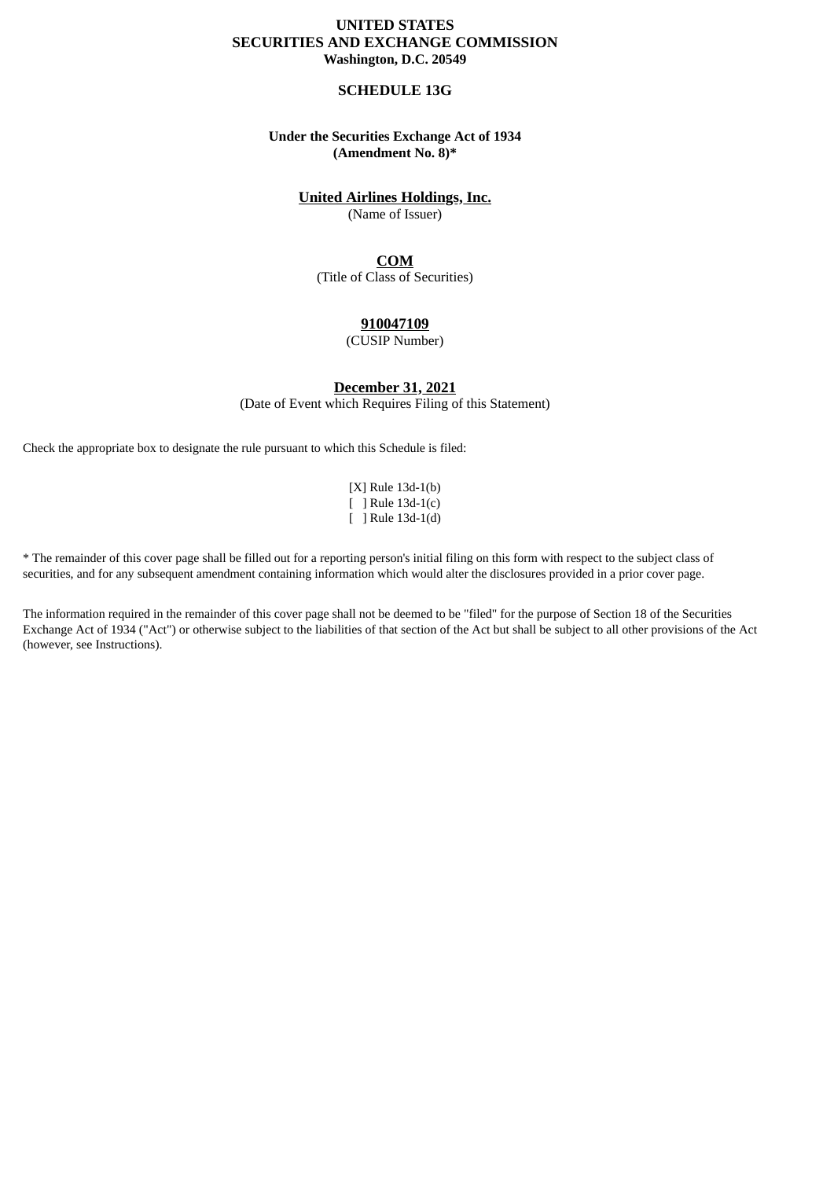## **UNITED STATES SECURITIES AND EXCHANGE COMMISSION Washington, D.C. 20549**

### **SCHEDULE 13G**

## **Under the Securities Exchange Act of 1934 (Amendment No. 8)\***

## **United Airlines Holdings, Inc.**

(Name of Issuer)

# **COM**

(Title of Class of Securities)

### **910047109**

(CUSIP Number)

**December 31, 2021**

(Date of Event which Requires Filing of this Statement)

Check the appropriate box to designate the rule pursuant to which this Schedule is filed:

[X] Rule 13d-1(b) [ ] Rule 13d-1(c) [ ] Rule 13d-1(d)

\* The remainder of this cover page shall be filled out for a reporting person's initial filing on this form with respect to the subject class of securities, and for any subsequent amendment containing information which would alter the disclosures provided in a prior cover page.

The information required in the remainder of this cover page shall not be deemed to be "filed" for the purpose of Section 18 of the Securities Exchange Act of 1934 ("Act") or otherwise subject to the liabilities of that section of the Act but shall be subject to all other provisions of the Act (however, see Instructions).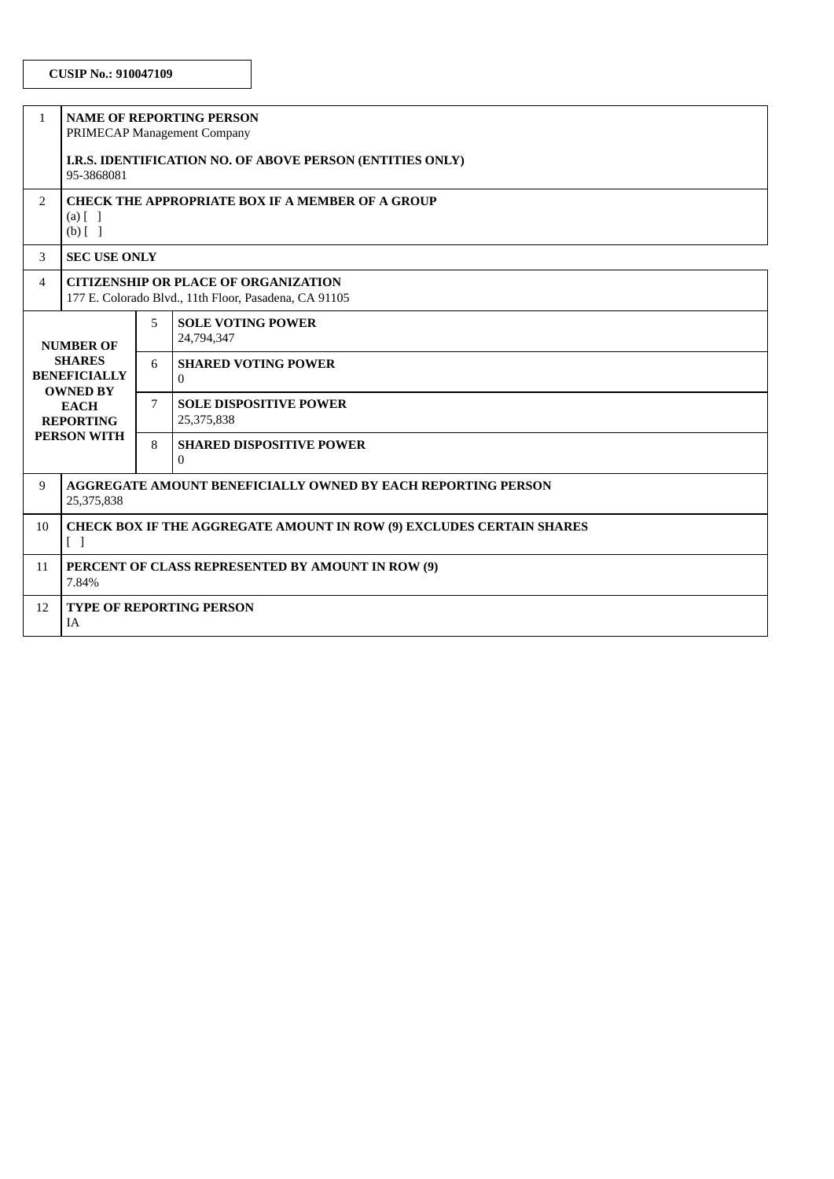| $\mathbf{1}$                                                                                                                         | <b>NAME OF REPORTING PERSON</b><br>PRIMECAP Management Company                                       |   |                                             |  |  |  |
|--------------------------------------------------------------------------------------------------------------------------------------|------------------------------------------------------------------------------------------------------|---|---------------------------------------------|--|--|--|
|                                                                                                                                      | I.R.S. IDENTIFICATION NO. OF ABOVE PERSON (ENTITIES ONLY)<br>95-3868081                              |   |                                             |  |  |  |
| $\overline{2}$                                                                                                                       | <b>CHECK THE APPROPRIATE BOX IF A MEMBER OF A GROUP</b><br>$(a)$ $\lceil$ $\rceil$<br>$(b)$ []       |   |                                             |  |  |  |
| 3                                                                                                                                    | <b>SEC USE ONLY</b>                                                                                  |   |                                             |  |  |  |
| 4                                                                                                                                    | <b>CITIZENSHIP OR PLACE OF ORGANIZATION</b><br>177 E. Colorado Blvd., 11th Floor, Pasadena, CA 91105 |   |                                             |  |  |  |
| <b>NUMBER OF</b><br><b>SHARES</b><br><b>BENEFICIALLY</b><br><b>OWNED BY</b><br><b>EACH</b><br><b>REPORTING</b><br><b>PERSON WITH</b> |                                                                                                      | 5 | <b>SOLE VOTING POWER</b><br>24,794,347      |  |  |  |
|                                                                                                                                      |                                                                                                      | 6 | <b>SHARED VOTING POWER</b><br>$\Omega$      |  |  |  |
|                                                                                                                                      |                                                                                                      | 7 | <b>SOLE DISPOSITIVE POWER</b><br>25,375,838 |  |  |  |
|                                                                                                                                      |                                                                                                      | 8 | <b>SHARED DISPOSITIVE POWER</b><br>$\Omega$ |  |  |  |
| 9                                                                                                                                    | <b>AGGREGATE AMOUNT BENEFICIALLY OWNED BY EACH REPORTING PERSON</b><br>25,375,838                    |   |                                             |  |  |  |
| 10                                                                                                                                   | <b>CHECK BOX IF THE AGGREGATE AMOUNT IN ROW (9) EXCLUDES CERTAIN SHARES</b><br>$\Box$                |   |                                             |  |  |  |
| 11                                                                                                                                   | PERCENT OF CLASS REPRESENTED BY AMOUNT IN ROW (9)<br>7.84%                                           |   |                                             |  |  |  |
| 12                                                                                                                                   | <b>TYPE OF REPORTING PERSON</b><br><b>IA</b>                                                         |   |                                             |  |  |  |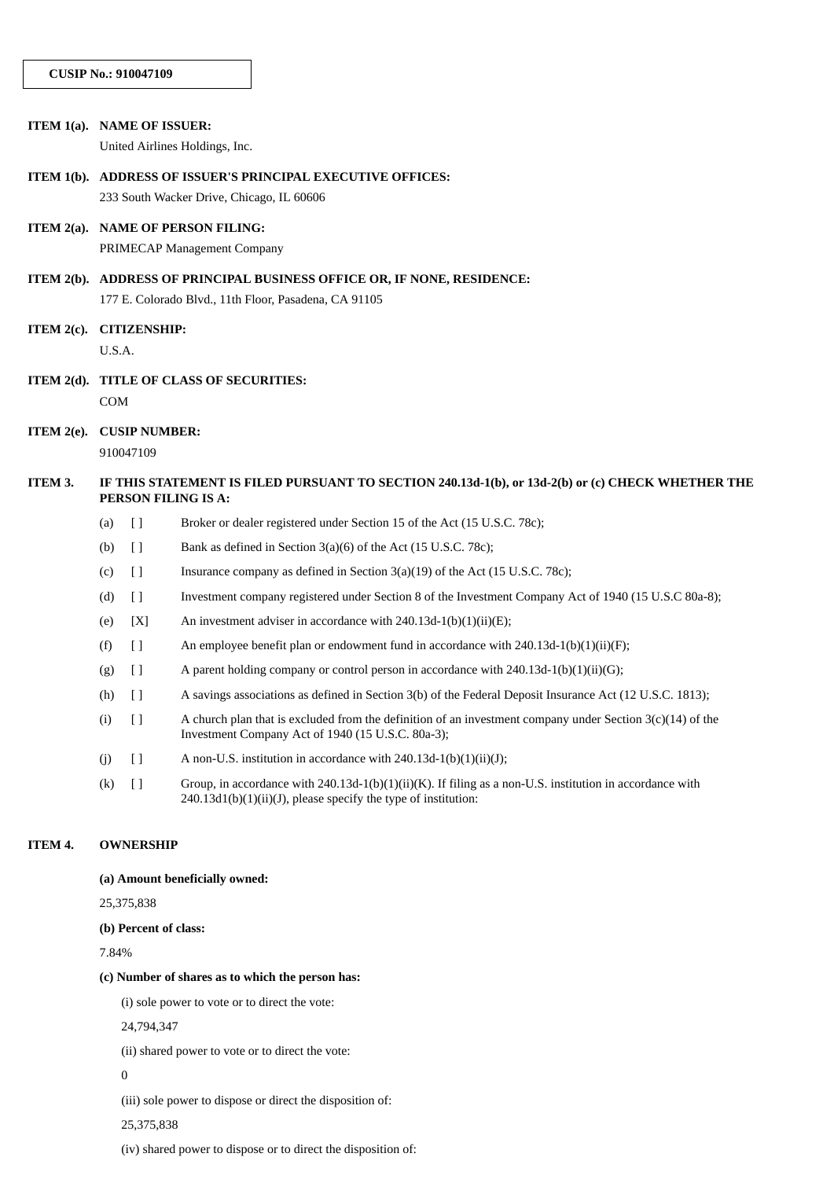| ITEM 1(a). NAME OF ISSUER: |                                                                                                                          |                                                                         | United Airlines Holdings, Inc.                                                                                                                                                |  |  |  |
|----------------------------|--------------------------------------------------------------------------------------------------------------------------|-------------------------------------------------------------------------|-------------------------------------------------------------------------------------------------------------------------------------------------------------------------------|--|--|--|
|                            | ITEM 1(b). ADDRESS OF ISSUER'S PRINCIPAL EXECUTIVE OFFICES:                                                              |                                                                         |                                                                                                                                                                               |  |  |  |
|                            |                                                                                                                          |                                                                         | 233 South Wacker Drive, Chicago, IL 60606                                                                                                                                     |  |  |  |
|                            | ITEM 2(a). NAME OF PERSON FILING:                                                                                        |                                                                         |                                                                                                                                                                               |  |  |  |
|                            |                                                                                                                          |                                                                         | PRIMECAP Management Company                                                                                                                                                   |  |  |  |
|                            |                                                                                                                          | ITEM 2(b). ADDRESS OF PRINCIPAL BUSINESS OFFICE OR, IF NONE, RESIDENCE: |                                                                                                                                                                               |  |  |  |
|                            |                                                                                                                          |                                                                         | 177 E. Colorado Blvd., 11th Floor, Pasadena, CA 91105                                                                                                                         |  |  |  |
|                            | ITEM 2(c). CITIZENSHIP:                                                                                                  |                                                                         |                                                                                                                                                                               |  |  |  |
|                            | U.S.A.                                                                                                                   |                                                                         |                                                                                                                                                                               |  |  |  |
|                            | ITEM 2(d). TITLE OF CLASS OF SECURITIES:                                                                                 |                                                                         |                                                                                                                                                                               |  |  |  |
|                            | COM                                                                                                                      |                                                                         |                                                                                                                                                                               |  |  |  |
| ITEM $2(e)$ .              | <b>CUSIP NUMBER:</b>                                                                                                     |                                                                         |                                                                                                                                                                               |  |  |  |
|                            |                                                                                                                          | 910047109                                                               |                                                                                                                                                                               |  |  |  |
| ITEM 3.                    | IF THIS STATEMENT IS FILED PURSUANT TO SECTION 240.13d-1(b), or 13d-2(b) or (c) CHECK WHETHER THE<br>PERSON FILING IS A: |                                                                         |                                                                                                                                                                               |  |  |  |
|                            | (a)                                                                                                                      | $[ \ ]$                                                                 | Broker or dealer registered under Section 15 of the Act (15 U.S.C. 78c);                                                                                                      |  |  |  |
|                            | (b)                                                                                                                      | $[ \ ]$                                                                 | Bank as defined in Section 3(a)(6) of the Act (15 U.S.C. 78c);                                                                                                                |  |  |  |
|                            | (c)                                                                                                                      | $[ \ ]$                                                                 | Insurance company as defined in Section $3(a)(19)$ of the Act $(15 \text{ U.S.C. } 78c)$ ;                                                                                    |  |  |  |
|                            | (d)                                                                                                                      | $[ \ ]$                                                                 | Investment company registered under Section 8 of the Investment Company Act of 1940 (15 U.S.C 80a-8);                                                                         |  |  |  |
|                            | (e)                                                                                                                      | [X]                                                                     | An investment adviser in accordance with 240.13d-1(b)(1)(ii)(E);                                                                                                              |  |  |  |
|                            | (f)                                                                                                                      | $[ \ ]$                                                                 | An employee benefit plan or endowment fund in accordance with 240.13d-1(b)(1)(ii)(F);                                                                                         |  |  |  |
|                            | (g)                                                                                                                      | $[ \ ]$                                                                 | A parent holding company or control person in accordance with 240.13d-1(b)(1)(ii)(G);                                                                                         |  |  |  |
|                            | (h)                                                                                                                      | $[ \ ]$                                                                 | A savings associations as defined in Section 3(b) of the Federal Deposit Insurance Act (12 U.S.C. 1813);                                                                      |  |  |  |
|                            | (i)                                                                                                                      | $[ \ ]$                                                                 | A church plan that is excluded from the definition of an investment company under Section $3(c)(14)$ of the<br>Investment Company Act of 1940 (15 U.S.C. 80a-3);              |  |  |  |
|                            | (j)                                                                                                                      | $[ \ ]$                                                                 | A non-U.S. institution in accordance with 240.13d-1(b)(1)(ii)(J);                                                                                                             |  |  |  |
|                            | (k)                                                                                                                      | $[ \ ]$                                                                 | Group, in accordance with 240.13d-1(b)(1)(ii)(K). If filing as a non-U.S. institution in accordance with<br>$240.13d1(b)(1)(ii)(J)$ , please specify the type of institution: |  |  |  |
| ITEM 4.                    |                                                                                                                          | <b>OWNERSHIP</b>                                                        |                                                                                                                                                                               |  |  |  |

**(a) Amount beneficially owned:**

25,375,838

**(b) Percent of class:**

7.84%

### **(c) Number of shares as to which the person has:**

(i) sole power to vote or to direct the vote:

24,794,347

(ii) shared power to vote or to direct the vote:

0

(iii) sole power to dispose or direct the disposition of:

25,375,838

(iv) shared power to dispose or to direct the disposition of: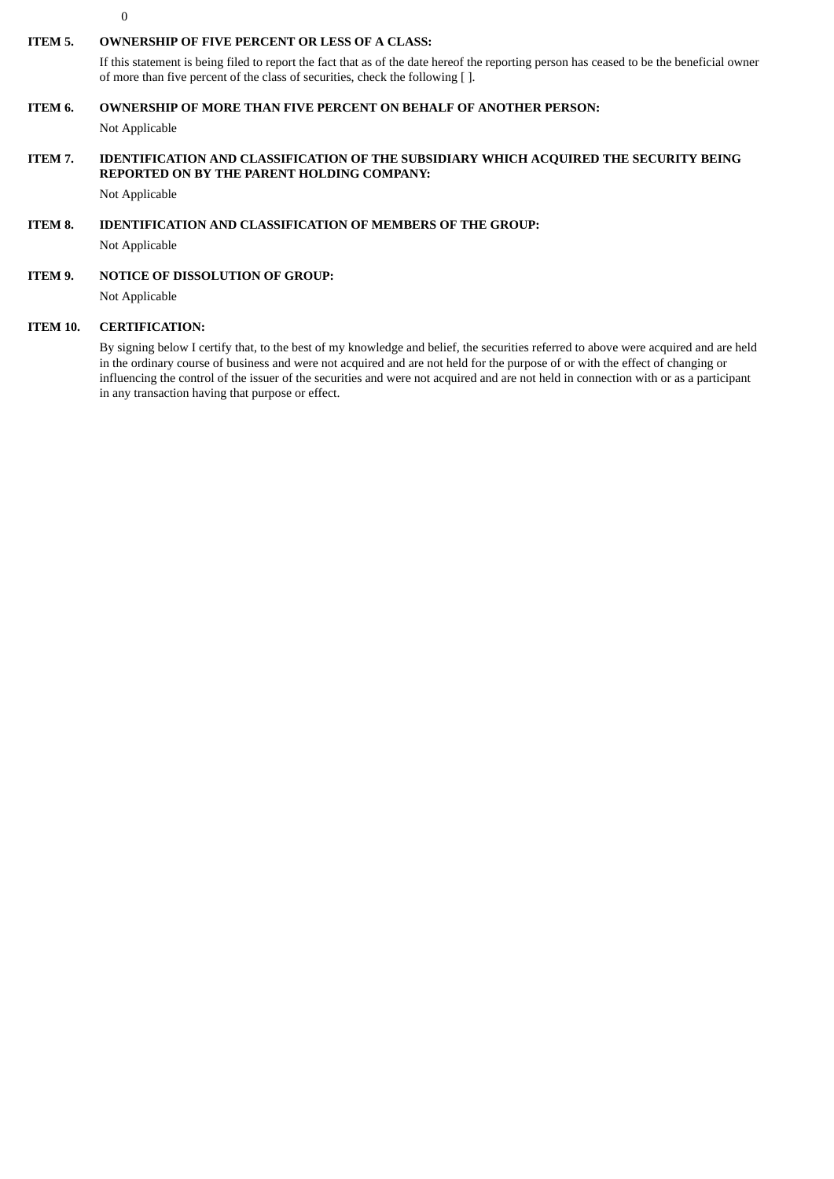$\theta$ 

# **ITEM 5. OWNERSHIP OF FIVE PERCENT OR LESS OF A CLASS:**

If this statement is being filed to report the fact that as of the date hereof the reporting person has ceased to be the beneficial owner of more than five percent of the class of securities, check the following [ ].

### **ITEM 6. OWNERSHIP OF MORE THAN FIVE PERCENT ON BEHALF OF ANOTHER PERSON:**

Not Applicable

# **ITEM 7. IDENTIFICATION AND CLASSIFICATION OF THE SUBSIDIARY WHICH ACQUIRED THE SECURITY BEING REPORTED ON BY THE PARENT HOLDING COMPANY:**

Not Applicable

#### **ITEM 8. IDENTIFICATION AND CLASSIFICATION OF MEMBERS OF THE GROUP:**

Not Applicable

#### **ITEM 9. NOTICE OF DISSOLUTION OF GROUP:**

Not Applicable

#### **ITEM 10. CERTIFICATION:**

By signing below I certify that, to the best of my knowledge and belief, the securities referred to above were acquired and are held in the ordinary course of business and were not acquired and are not held for the purpose of or with the effect of changing or influencing the control of the issuer of the securities and were not acquired and are not held in connection with or as a participant in any transaction having that purpose or effect.